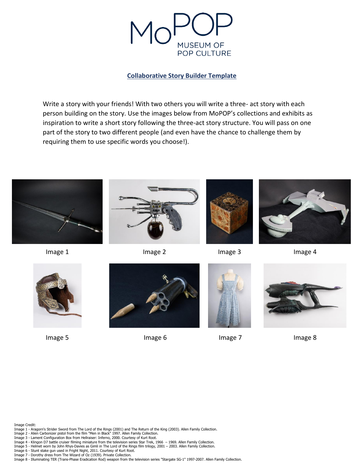

#### **Collaborative Story Builder Template**

Write a story with your friends! With two others you will write a three- act story with each person building on the story. Use the images below from MoPOP's collections and exhibits as inspiration to write a short story following the three-act story structure. You will pass on one part of the story to two different people (and even have the chance to challenge them by requiring them to use specific words you choose!).





Image 1 **Image 2** Image 2 Image 2 Image 3 Image 4







Image 5 Image 6 Image 6 Image 7 Image 8







Image Credit:

- Image 1 Aragorn's Strider Sword from The Lord of the Rings (2001) and The Return of the King (2003). Allen Family Collection.<br>Image 2 Alien Carbonizer pistol from the film "Men in Black" 1997. Allen Family Collection.
- 
- Image 3 Lament Configuration Box from Hellraiser: Inferno, 2000. Courtesy of Kurt Root.
- Image 4 Klingon D7 battle cruiser filming miniature from the television series Star Trek, 1966 1969. Allen Family Collection.<br>Image 5 Helmet worn by John Rhys-Davies as Gimli in The Lord of the Rings film trilogy, 2
- 
- Image 7 Dorothy dress from The Wizard of Oz (1939). Private Collection.

Image 8 - Illuminating TER (Trans-Phase Eradication Rod) weapon from the television series "Stargate SG-1" 1997-2007. Allen Family Collection.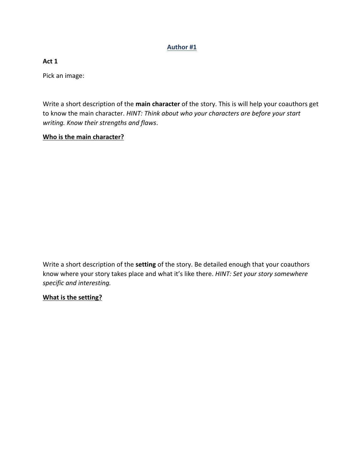### **Author #1**

### **Act 1**

Pick an image:

Write a short description of the **main character** of the story. This is will help your coauthors get to know the main character. *HINT: Think about who your characters are before your start writing. Know their strengths and flaws*.

### **Who is the main character?**

Write a short description of the **setting** of the story. Be detailed enough that your coauthors know where your story takes place and what it's like there. *HINT: Set your story somewhere specific and interesting.* 

## **What is the setting?**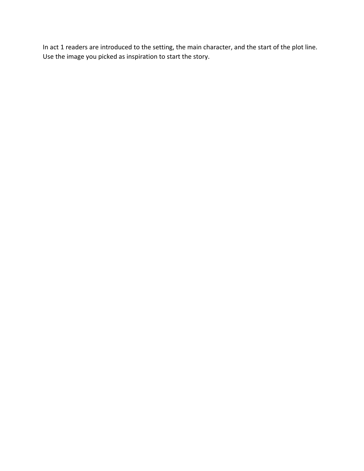In act 1 readers are introduced to the setting, the main character, and the start of the plot line. Use the image you picked as inspiration to start the story.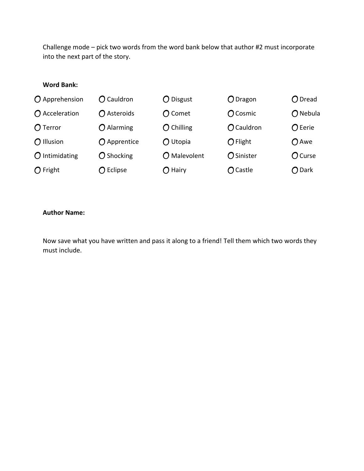Challenge mode – pick two words from the word bank below that author #2 must incorporate into the next part of the story.

### **Word Bank:**

| $O$ Apprehension       | $\bigcap$ Cauldron | $\bigcirc$ Disgust | $\bigcirc$ Dragon   | $O$ Dread        |
|------------------------|--------------------|--------------------|---------------------|------------------|
| $\bigcap$ Acceleration | ◯ Asteroids        | $\bigcap$ Comet    | $\bigcap$ Cosmic    | $\bigcap$ Nebula |
| $O$ Terror             | $O$ Alarming       | $O$ Chilling       | $O$ Cauldron        | $O$ Eerie        |
| $\bigcap$ Illusion     | O Apprentice       | $\bigcap$ Utopia   | $\bigcirc$ Flight   | $O$ Awe          |
| $\Omega$ Intimidating  | $O$ Shocking       | $O$ Malevolent     | $\bigcirc$ Sinister | O Curse          |
| $\bigcap$ Fright       | $\bigcap$ Eclipse  | $\bigcap$ Hairy    | $\bigcap$ Castle    | ◯ Dark           |

#### **Author Name:**

Now save what you have written and pass it along to a friend! Tell them which two words they must include.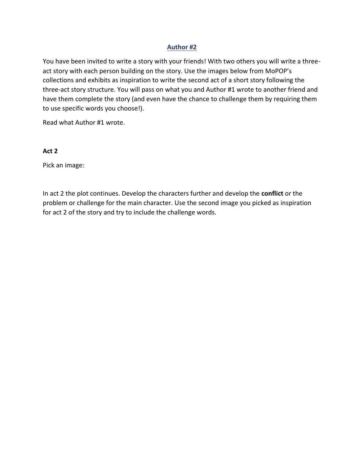#### **Author #2**

You have been invited to write a story with your friends! With two others you will write a threeact story with each person building on the story. Use the images below from MoPOP's collections and exhibits as inspiration to write the second act of a short story following the three-act story structure. You will pass on what you and Author #1 wrote to another friend and have them complete the story (and even have the chance to challenge them by requiring them to use specific words you choose!).

Read what Author #1 wrote.

#### **Act 2**

Pick an image:

In act 2 the plot continues. Develop the characters further and develop the **conflict** or the problem or challenge for the main character. Use the second image you picked as inspiration for act 2 of the story and try to include the challenge words.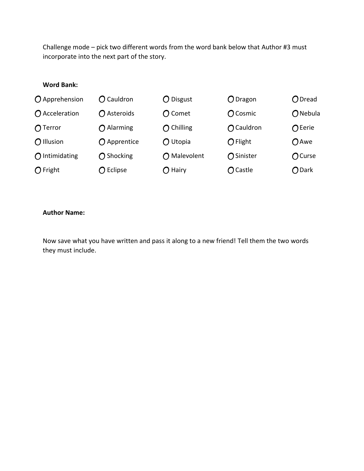Challenge mode – pick two different words from the word bank below that Author #3 must incorporate into the next part of the story.

# **Word Bank:**

| $O$ Apprehension       | $\bigcap$ Cauldron | $\bigcirc$ Disgust | $O$ Dragon        | $O$ Dread         |
|------------------------|--------------------|--------------------|-------------------|-------------------|
| $\bigcap$ Acceleration | ◯ Asteroids        | $\bigcap$ Comet    | $\bigcap$ Cosmic  | $\bigcirc$ Nebula |
| $\bigcap$ Terror       | $\bigcap$ Alarming | $\bigcap$ Chilling | ◯ Cauldron        | $\bigcap$ Eerie   |
| $\bigcap$ Illusion     | $O$ Apprentice     | $\bigcap$ Utopia   | $\bigcirc$ Flight | $O$ Awe           |
| $\bigcap$ Intimidating | $\bigcap$ Shocking | O Malevolent       | ◯ Sinister        | $O$ Curse         |
| $\bigcap$ Fright       | $\bigcap$ Eclipse  | $\bigcap$ Hairy    | $\bigcap$ Castle  | O Dark            |

#### **Author Name:**

Now save what you have written and pass it along to a new friend! Tell them the two words they must include.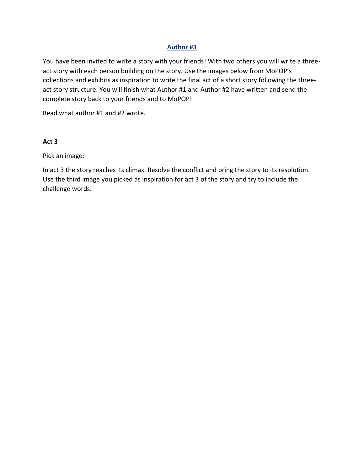### **Author #3**

You have been invited to write a story with your friends! With two others you will write a threeact story with each person building on the story. Use the images below from MoPOP's collections and exhibits as inspiration to write the final act of a short story following the threeact story structure. You will finish what Author #1 and Author #2 have written and send the complete story back to your friends and to MoPOP!

Read what author #1 and #2 wrote.

### **Act 3**

Pick an image:

In act 3 the story reaches its climax. Resolve the conflict and bring the story to its resolution. Use the third image you picked as inspiration for act 3 of the story and try to include the challenge words.